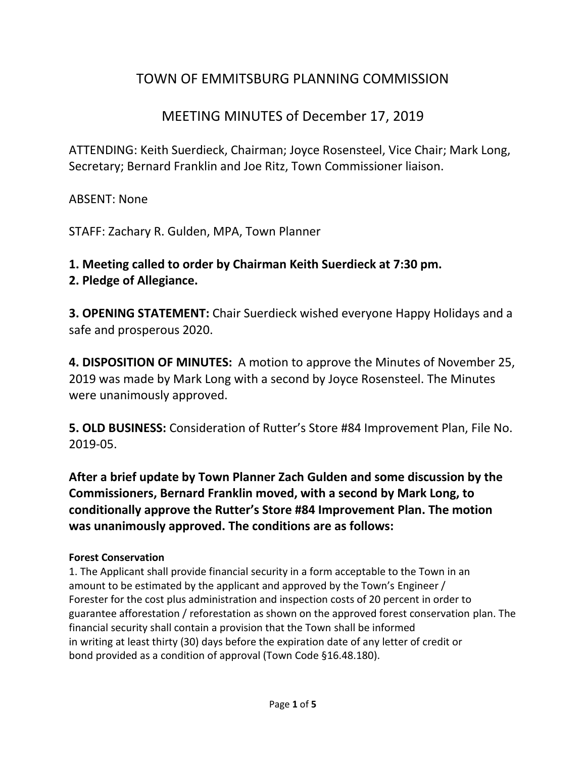# TOWN OF EMMITSBURG PLANNING COMMISSION

# MEETING MINUTES of December 17, 2019

ATTENDING: Keith Suerdieck, Chairman; Joyce Rosensteel, Vice Chair; Mark Long, Secretary; Bernard Franklin and Joe Ritz, Town Commissioner liaison.

ABSENT: None

STAFF: Zachary R. Gulden, MPA, Town Planner

# **1. Meeting called to order by Chairman Keith Suerdieck at 7:30 pm.**

### **2. Pledge of Allegiance.**

**3. OPENING STATEMENT:** Chair Suerdieck wished everyone Happy Holidays and a safe and prosperous 2020.

**4. DISPOSITION OF MINUTES:** A motion to approve the Minutes of November 25, 2019 was made by Mark Long with a second by Joyce Rosensteel. The Minutes were unanimously approved.

**5. OLD BUSINESS:** Consideration of Rutter's Store #84 Improvement Plan, File No. 2019-05.

**After a brief update by Town Planner Zach Gulden and some discussion by the Commissioners, Bernard Franklin moved, with a second by Mark Long, to conditionally approve the Rutter's Store #84 Improvement Plan. The motion was unanimously approved. The conditions are as follows:**

### **Forest Conservation**

1. The Applicant shall provide financial security in a form acceptable to the Town in an amount to be estimated by the applicant and approved by the Town's Engineer / Forester for the cost plus administration and inspection costs of 20 percent in order to guarantee afforestation / reforestation as shown on the approved forest conservation plan. The financial security shall contain a provision that the Town shall be informed in writing at least thirty (30) days before the expiration date of any letter of credit or bond provided as a condition of approval (Town Code §16.48.180).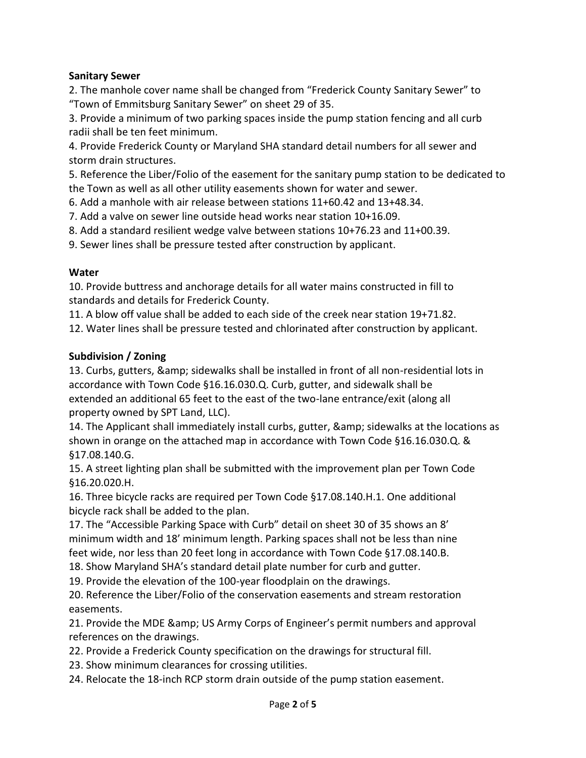#### **Sanitary Sewer**

2. The manhole cover name shall be changed from "Frederick County Sanitary Sewer" to "Town of Emmitsburg Sanitary Sewer" on sheet 29 of 35.

3. Provide a minimum of two parking spaces inside the pump station fencing and all curb radii shall be ten feet minimum.

4. Provide Frederick County or Maryland SHA standard detail numbers for all sewer and storm drain structures.

5. Reference the Liber/Folio of the easement for the sanitary pump station to be dedicated to the Town as well as all other utility easements shown for water and sewer.

6. Add a manhole with air release between stations 11+60.42 and 13+48.34.

7. Add a valve on sewer line outside head works near station 10+16.09.

8. Add a standard resilient wedge valve between stations 10+76.23 and 11+00.39.

9. Sewer lines shall be pressure tested after construction by applicant.

#### **Water**

10. Provide buttress and anchorage details for all water mains constructed in fill to standards and details for Frederick County.

11. A blow off value shall be added to each side of the creek near station 19+71.82.

12. Water lines shall be pressure tested and chlorinated after construction by applicant.

#### **Subdivision / Zoning**

13. Curbs, gutters, & sidewalks shall be installed in front of all non-residential lots in accordance with Town Code §16.16.030.Q. Curb, gutter, and sidewalk shall be extended an additional 65 feet to the east of the two-lane entrance/exit (along all property owned by SPT Land, LLC).

14. The Applicant shall immediately install curbs, gutter, & amp; sidewalks at the locations as shown in orange on the attached map in accordance with Town Code §16.16.030.Q. & §17.08.140.G.

15. A street lighting plan shall be submitted with the improvement plan per Town Code §16.20.020.H.

16. Three bicycle racks are required per Town Code §17.08.140.H.1. One additional bicycle rack shall be added to the plan.

17. The "Accessible Parking Space with Curb" detail on sheet 30 of 35 shows an 8' minimum width and 18' minimum length. Parking spaces shall not be less than nine feet wide, nor less than 20 feet long in accordance with Town Code §17.08.140.B.

18. Show Maryland SHA's standard detail plate number for curb and gutter.

19. Provide the elevation of the 100-year floodplain on the drawings.

20. Reference the Liber/Folio of the conservation easements and stream restoration easements.

21. Provide the MDE & amp; US Army Corps of Engineer's permit numbers and approval references on the drawings.

22. Provide a Frederick County specification on the drawings for structural fill.

23. Show minimum clearances for crossing utilities.

24. Relocate the 18-inch RCP storm drain outside of the pump station easement.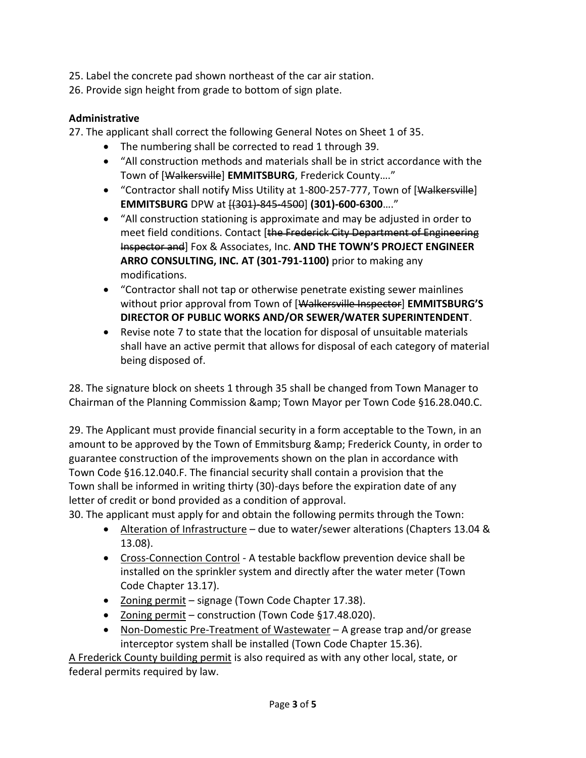25. Label the concrete pad shown northeast of the car air station.

26. Provide sign height from grade to bottom of sign plate.

### **Administrative**

27. The applicant shall correct the following General Notes on Sheet 1 of 35.

- The numbering shall be corrected to read 1 through 39.
- "All construction methods and materials shall be in strict accordance with the Town of [Walkersville] **EMMITSBURG**, Frederick County…."
- "Contractor shall notify Miss Utility at 1-800-257-777, Town of [Walkersville] **EMMITSBURG** DPW at [(301)-845-4500] **(301)-600-6300**…."
- "All construction stationing is approximate and may be adjusted in order to meet field conditions. Contact [the Frederick City Department of Engineering Inspector and] Fox & Associates, Inc. **AND THE TOWN'S PROJECT ENGINEER ARRO CONSULTING, INC. AT (301-791-1100)** prior to making any modifications.
- "Contractor shall not tap or otherwise penetrate existing sewer mainlines without prior approval from Town of [Walkersville Inspector] **EMMITSBURG'S DIRECTOR OF PUBLIC WORKS AND/OR SEWER/WATER SUPERINTENDENT**.
- Revise note 7 to state that the location for disposal of unsuitable materials shall have an active permit that allows for disposal of each category of material being disposed of.

28. The signature block on sheets 1 through 35 shall be changed from Town Manager to Chairman of the Planning Commission & amp; Town Mayor per Town Code §16.28.040.C.

29. The Applicant must provide financial security in a form acceptable to the Town, in an amount to be approved by the Town of Emmitsburg & amp; Frederick County, in order to guarantee construction of the improvements shown on the plan in accordance with Town Code §16.12.040.F. The financial security shall contain a provision that the Town shall be informed in writing thirty (30)-days before the expiration date of any letter of credit or bond provided as a condition of approval.

30. The applicant must apply for and obtain the following permits through the Town:

- Alteration of Infrastructure due to water/sewer alterations (Chapters 13.04 & 13.08).
- Cross-Connection Control A testable backflow prevention device shall be installed on the sprinkler system and directly after the water meter (Town Code Chapter 13.17).
- Zoning permit signage (Town Code Chapter 17.38).
- Zoning permit construction (Town Code §17.48.020).
- Non-Domestic Pre-Treatment of Wastewater A grease trap and/or grease interceptor system shall be installed (Town Code Chapter 15.36).

A Frederick County building permit is also required as with any other local, state, or federal permits required by law.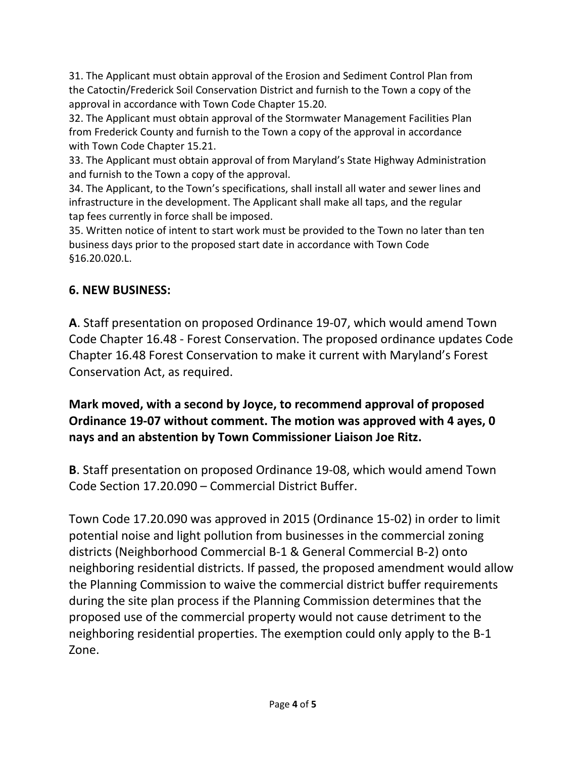31. The Applicant must obtain approval of the Erosion and Sediment Control Plan from the Catoctin/Frederick Soil Conservation District and furnish to the Town a copy of the approval in accordance with Town Code Chapter 15.20.

32. The Applicant must obtain approval of the Stormwater Management Facilities Plan from Frederick County and furnish to the Town a copy of the approval in accordance with Town Code Chapter 15.21.

33. The Applicant must obtain approval of from Maryland's State Highway Administration and furnish to the Town a copy of the approval.

34. The Applicant, to the Town's specifications, shall install all water and sewer lines and infrastructure in the development. The Applicant shall make all taps, and the regular tap fees currently in force shall be imposed.

35. Written notice of intent to start work must be provided to the Town no later than ten business days prior to the proposed start date in accordance with Town Code §16.20.020.L.

### **6. NEW BUSINESS:**

**A**. Staff presentation on proposed Ordinance 19-07, which would amend Town Code Chapter 16.48 - Forest Conservation. The proposed ordinance updates Code Chapter 16.48 Forest Conservation to make it current with Maryland's Forest Conservation Act, as required.

**Mark moved, with a second by Joyce, to recommend approval of proposed Ordinance 19-07 without comment. The motion was approved with 4 ayes, 0 nays and an abstention by Town Commissioner Liaison Joe Ritz.**

**B**. Staff presentation on proposed Ordinance 19-08, which would amend Town Code Section 17.20.090 – Commercial District Buffer.

Town Code 17.20.090 was approved in 2015 (Ordinance 15-02) in order to limit potential noise and light pollution from businesses in the commercial zoning districts (Neighborhood Commercial B-1 & General Commercial B-2) onto neighboring residential districts. If passed, the proposed amendment would allow the Planning Commission to waive the commercial district buffer requirements during the site plan process if the Planning Commission determines that the proposed use of the commercial property would not cause detriment to the neighboring residential properties. The exemption could only apply to the B-1 Zone.